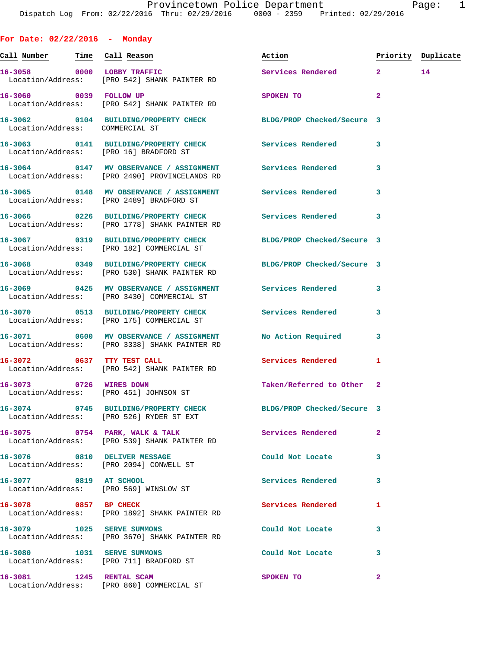**For Date: 02/22/2016 - Monday Call Number Time Call Reason Action Priority Duplicate 16-3058 0000 LOBBY TRAFFIC Services Rendered 2 14**  Location/Address: [PRO 542] SHANK PAINTER RD **16-3060 0039 FOLLOW UP SPOKEN TO 2**  Location/Address: [PRO 542] SHANK PAINTER RD **16-3062 0104 BUILDING/PROPERTY CHECK BLDG/PROP Checked/Secure 3**  Location/Address: COMMERCIAL ST **16-3063 0141 BUILDING/PROPERTY CHECK Services Rendered 3**  Location/Address: [PRO 16] BRADFORD ST **16-3064 0147 MV OBSERVANCE / ASSIGNMENT Services Rendered 3**  Location/Address: [PRO 2490] PROVINCELANDS RD **16-3065 0148 MV OBSERVANCE / ASSIGNMENT Services Rendered 3**  Location/Address: [PRO 2489] BRADFORD ST **16-3066 0226 BUILDING/PROPERTY CHECK Services Rendered 3**  Location/Address: [PRO 1778] SHANK PAINTER RD **16-3067 0319 BUILDING/PROPERTY CHECK BLDG/PROP Checked/Secure 3**  Location/Address: [PRO 182] COMMERCIAL ST **16-3068 0349 BUILDING/PROPERTY CHECK BLDG/PROP Checked/Secure 3**  Location/Address: [PRO 530] SHANK PAINTER RD **16-3069 0425 MV OBSERVANCE / ASSIGNMENT Services Rendered 3**  Location/Address: [PRO 3430] COMMERCIAL ST **16-3070 0513 BUILDING/PROPERTY CHECK Services Rendered 3**  Location/Address: [PRO 175] COMMERCIAL ST **16-3071 0600 MV OBSERVANCE / ASSIGNMENT No Action Required 3**  Location/Address: [PRO 3338] SHANK PAINTER RD **16-3072 0637 TTY TEST CALL Services Rendered 1**  Location/Address: [PRO 542] SHANK PAINTER RD **16-3073 0726 WIRES DOWN Taken/Referred to Other 2**  Location/Address: [PRO 451] JOHNSON ST **16-3074 0745 BUILDING/PROPERTY CHECK BLDG/PROP Checked/Secure 3**  Location/Address: [PRO 526] RYDER ST EXT **16-3075 0754 PARK, WALK & TALK Services Rendered 2**  Location/Address: [PRO 539] SHANK PAINTER RD **16-3076 0810 DELIVER MESSAGE Could Not Locate 3**  Location/Address: [PRO 2094] CONWELL ST **16-3077 0819 AT SCHOOL Services Rendered 3**  Location/Address: [PRO 569] WINSLOW ST **16-3078 0857 BP CHECK Services Rendered 1**  Location/Address: [PRO 1892] SHANK PAINTER RD **16-3079 1025 SERVE SUMMONS Could Not Locate 3**  Location/Address: [PRO 3670] SHANK PAINTER RD **16-3080 1031 SERVE SUMMONS Could Not Locate 3**  Location/Address: [PRO 711] BRADFORD ST **16-3081 1245 RENTAL SCAM SPOKEN TO 2**  Location/Address: [PRO 860] COMMERCIAL ST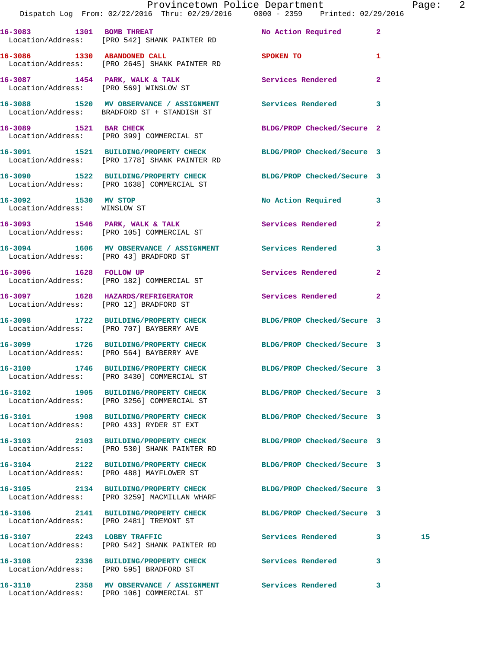|                                                      | Provincetown Police Department<br>Dispatch Log From: 02/22/2016 Thru: 02/29/2016 0000 - 2359 Printed: 02/29/2016 |                                  | Page: 2      |
|------------------------------------------------------|------------------------------------------------------------------------------------------------------------------|----------------------------------|--------------|
|                                                      | 16-3083 1301 BOMB THREAT<br>Location/Address: [PRO 542] SHANK PAINTER RD                                         | No Action Required 2             |              |
| 16-3086 1330 ABANDONED CALL                          | Location/Address: [PRO 2645] SHANK PAINTER RD                                                                    | SPOKEN TO AND TO A THE SPOKEN TO | $\mathbf{1}$ |
|                                                      | 16-3087 1454 PARK, WALK & TALK Services Rendered Election/Address: [PRO 569] WINSLOW ST                          |                                  | $\mathbf{2}$ |
|                                                      | 16-3088 1520 MV OBSERVANCE / ASSIGNMENT Services Rendered<br>Location/Address: BRADFORD ST + STANDISH ST         |                                  | $\mathbf{3}$ |
|                                                      | 16-3089 1521 BAR CHECK<br>Location/Address: [PRO 399] COMMERCIAL ST                                              | BLDG/PROP Checked/Secure 2       |              |
|                                                      | 16-3091 1521 BUILDING/PROPERTY CHECK BLDG/PROP Checked/Secure 3<br>Location/Address: [PRO 1778] SHANK PAINTER RD |                                  |              |
|                                                      | 16-3090 1522 BUILDING/PROPERTY CHECK BLDG/PROP Checked/Secure 3<br>Location/Address: [PRO 1638] COMMERCIAL ST    |                                  |              |
| 16-3092 1530 MV STOP<br>Location/Address: WINSLOW ST |                                                                                                                  | No Action Required 3             |              |
|                                                      | 16-3093 1546 PARK, WALK & TALK 3 Services Rendered<br>Location/Address: [PRO 105] COMMERCIAL ST                  |                                  | $\mathbf{2}$ |
| Location/Address: [PRO 43] BRADFORD ST               | 16-3094 1606 MV OBSERVANCE / ASSIGNMENT Services Rendered                                                        |                                  | 3            |
| 16-3096 1628 FOLLOW UP                               | Location/Address: [PRO 182] COMMERCIAL ST                                                                        | Services Rendered                | $\mathbf{2}$ |
| Location/Address: [PRO 12] BRADFORD ST               | 16-3097 1628 HAZARDS/REFRIGERATOR Services Rendered                                                              |                                  | 2            |
|                                                      | 16-3098 1722 BUILDING/PROPERTY CHECK BLDG/PROP Checked/Secure 3<br>Location/Address: [PRO 707] BAYBERRY AVE      |                                  |              |
|                                                      | 16-3099 1726 BUILDING/PROPERTY CHECK BLDG/PROP Checked/Secure 3<br>Location/Address: [PRO 564] BAYBERRY AVE      |                                  |              |
|                                                      | 16-3100 1746 BUILDING/PROPERTY CHECK<br>Location/Address: [PRO 3430] COMMERCIAL ST                               | BLDG/PROP Checked/Secure 3       |              |
|                                                      | 16-3102 1905 BUILDING/PROPERTY CHECK BLDG/PROP Checked/Secure 3<br>Location/Address: [PRO 3256] COMMERCIAL ST    |                                  |              |
|                                                      | 16-3101 1908 BUILDING/PROPERTY CHECK<br>Location/Address: [PRO 433] RYDER ST EXT                                 | BLDG/PROP Checked/Secure 3       |              |
|                                                      | 16-3103 2103 BUILDING/PROPERTY CHECK BLDG/PROP Checked/Secure 3<br>Location/Address: [PRO 530] SHANK PAINTER RD  |                                  |              |
|                                                      | 16-3104 2122 BUILDING/PROPERTY CHECK<br>Location/Address: [PRO 488] MAYFLOWER ST                                 | BLDG/PROP Checked/Secure 3       |              |
|                                                      | 16-3105 2134 BUILDING/PROPERTY CHECK<br>Location/Address: [PRO 3259] MACMILLAN WHARF                             | BLDG/PROP Checked/Secure 3       |              |
|                                                      | 16-3106 2141 BUILDING/PROPERTY CHECK BLDG/PROP Checked/Secure 3<br>Location/Address: [PRO 2481] TREMONT ST       |                                  |              |
|                                                      | 16-3107 2243 LOBBY TRAFFIC<br>Location/Address: [PRO 542] SHANK PAINTER RD                                       | Services Rendered 3              | 15           |
|                                                      | 16-3108 2336 BUILDING/PROPERTY CHECK<br>Location/Address: [PRO 595] BRADFORD ST                                  | <b>Services Rendered</b>         | 3            |
|                                                      |                                                                                                                  |                                  | 3            |

Location/Address: [PRO 106] COMMERCIAL ST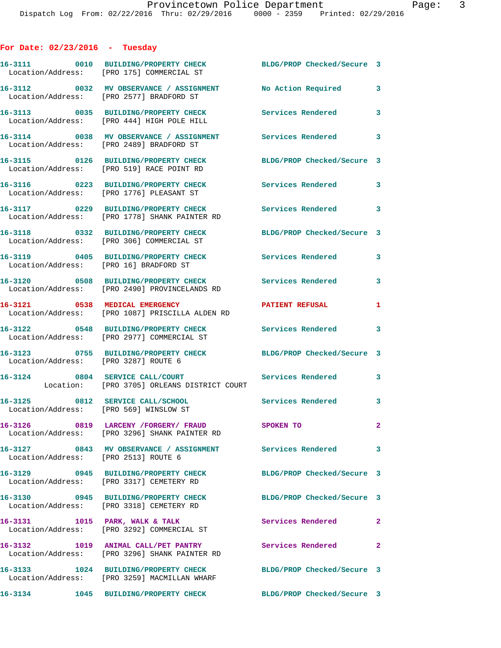## **For Date: 02/23/2016 - Tuesday**

|                                        | 16-3111 0010 BUILDING/PROPERTY CHECK<br>Location/Address: [PRO 175] COMMERCIAL ST       | BLDG/PROP Checked/Secure 3 |              |
|----------------------------------------|-----------------------------------------------------------------------------------------|----------------------------|--------------|
|                                        | 16-3112 0032 MV OBSERVANCE / ASSIGNMENT<br>Location/Address: [PRO 2577] BRADFORD ST     | No Action Required         | 3            |
|                                        | 16-3113 0035 BUILDING/PROPERTY CHECK<br>Location/Address: [PRO 444] HIGH POLE HILL      | <b>Services Rendered</b>   | 3            |
|                                        | 16-3114 0038 MV OBSERVANCE / ASSIGNMENT<br>Location/Address: [PRO 2489] BRADFORD ST     | <b>Services Rendered</b>   | 3            |
|                                        | 16-3115 0126 BUILDING/PROPERTY CHECK<br>Location/Address: [PRO 519] RACE POINT RD       | BLDG/PROP Checked/Secure 3 |              |
|                                        | 16-3116 0223 BUILDING/PROPERTY CHECK<br>Location/Address: [PRO 1776] PLEASANT ST        | <b>Services Rendered</b>   | 3            |
|                                        | 16-3117 0229 BUILDING/PROPERTY CHECK<br>Location/Address: [PRO 1778] SHANK PAINTER RD   | <b>Services Rendered</b>   | 3            |
|                                        | 16-3118 0332 BUILDING/PROPERTY CHECK<br>Location/Address: [PRO 306] COMMERCIAL ST       | BLDG/PROP Checked/Secure 3 |              |
| Location/Address: [PRO 16] BRADFORD ST | 16-3119 0405 BUILDING/PROPERTY CHECK                                                    | <b>Services Rendered</b>   | 3            |
|                                        | 16-3120 0508 BUILDING/PROPERTY CHECK<br>Location/Address: [PRO 2490] PROVINCELANDS RD   | <b>Services Rendered</b>   | 3            |
|                                        | 16-3121 0538 MEDICAL EMERGENCY<br>Location/Address: [PRO 1087] PRISCILLA ALDEN RD       | <b>PATIENT REFUSAL</b>     | 1            |
|                                        | 16-3122 0548 BUILDING/PROPERTY CHECK<br>Location/Address: [PRO 2977] COMMERCIAL ST      | Services Rendered 3        |              |
| Location/Address: [PRO 3287] ROUTE 6   | 16-3123 0755 BUILDING/PROPERTY CHECK                                                    | BLDG/PROP Checked/Secure 3 |              |
|                                        | 16-3124 0804 SERVICE CALL/COURT<br>Location: [PRO 3705] ORLEANS DISTRICT COURT          | <b>Services Rendered</b>   | 3            |
| Location/Address: [PRO 569] WINSLOW ST | 16-3125 0812 SERVICE CALL/SCHOOL                                                        | Services Rendered 3        |              |
|                                        | 16-3126 0819 LARCENY / FORGERY / FRAUD<br>Location/Address: [PRO 3296] SHANK PAINTER RD | SPOKEN TO                  |              |
| Location/Address: [PRO 2513] ROUTE 6   | 16-3127 0843 MV OBSERVANCE / ASSIGNMENT Services Rendered                               |                            | 3            |
|                                        | 16-3129 0945 BUILDING/PROPERTY CHECK<br>Location/Address: [PRO 3317] CEMETERY RD        | BLDG/PROP Checked/Secure 3 |              |
|                                        | 16-3130 0945 BUILDING/PROPERTY CHECK<br>Location/Address: [PRO 3318] CEMETERY RD        | BLDG/PROP Checked/Secure 3 |              |
|                                        | 16-3131 1015 PARK, WALK & TALK<br>Location/Address: [PRO 3292] COMMERCIAL ST            | Services Rendered          | $\mathbf{2}$ |
|                                        | 16-3132 1019 ANIMAL CALL/PET PANTRY<br>Location/Address: [PRO 3296] SHANK PAINTER RD    | <b>Services Rendered</b>   | $\mathbf{2}$ |
|                                        | 16-3133 1024 BUILDING/PROPERTY CHECK<br>Location/Address: [PRO 3259] MACMILLAN WHARF    | BLDG/PROP Checked/Secure 3 |              |
| 16-3134                                | 1045 BUILDING/PROPERTY CHECK                                                            | BLDG/PROP Checked/Secure 3 |              |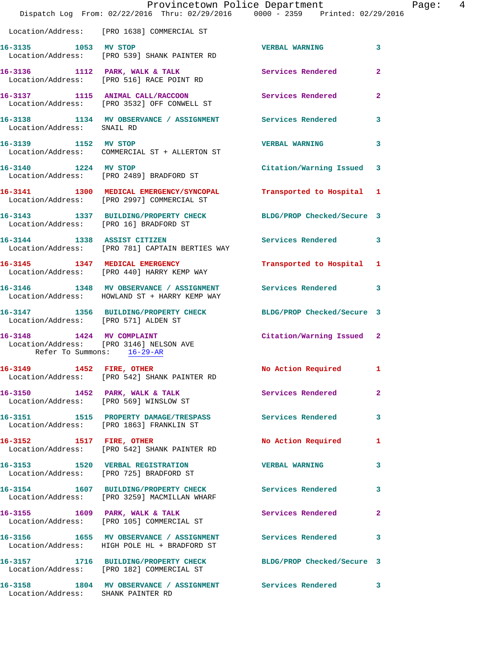|                                                                                                    | Provincetown Police Department<br>Dispatch Log From: 02/22/2016 Thru: 02/29/2016 0000 - 2359 Printed: 02/29/2016 |                            |                |
|----------------------------------------------------------------------------------------------------|------------------------------------------------------------------------------------------------------------------|----------------------------|----------------|
|                                                                                                    | Location/Address: [PRO 1638] COMMERCIAL ST                                                                       |                            |                |
|                                                                                                    | 16-3135 1053 MV STOP<br>Location/Address: [PRO 539] SHANK PAINTER RD                                             | <b>VERBAL WARNING</b>      | 3              |
|                                                                                                    | 16-3136 1112 PARK, WALK & TALK Services Rendered Election/Address: [PRO 516] RACE POINT RD                       |                            | 2              |
|                                                                                                    | 16-3137 1115 ANIMAL CALL/RACCOON<br>Location/Address: [PRO 3532] OFF CONWELL ST                                  | <b>Services Rendered</b>   | 2              |
|                                                                                                    | 16-3138 1134 MV OBSERVANCE / ASSIGNMENT Services Rendered<br>Location/Address: SNAIL RD                          |                            | 3              |
| 16-3139 1152 MV STOP                                                                               | Location/Address: COMMERCIAL ST + ALLERTON ST                                                                    | <b>VERBAL WARNING</b>      | 3              |
| 16-3140 1224 MV STOP                                                                               | Location/Address: [PRO 2489] BRADFORD ST                                                                         | Citation/Warning Issued    | 3              |
|                                                                                                    | 16-3141 1300 MEDICAL EMERGENCY/SYNCOPAL Transported to Hospital<br>Location/Address: [PRO 2997] COMMERCIAL ST    |                            | 1              |
| Location/Address: [PRO 16] BRADFORD ST                                                             | 16-3143 1337 BUILDING/PROPERTY CHECK BLDG/PROP Checked/Secure 3                                                  |                            |                |
|                                                                                                    | 16-3144 1338 ASSIST CITIZEN<br>Location/Address: [PRO 781] CAPTAIN BERTIES WAY                                   | <b>Services Rendered</b>   | 3              |
|                                                                                                    | 16-3145 1347 MEDICAL EMERGENCY<br>Location/Address: [PRO 440] HARRY KEMP WAY                                     | Transported to Hospital    | 1              |
|                                                                                                    | 16-3146 1348 MV OBSERVANCE / ASSIGNMENT Services Rendered<br>Location/Address: HOWLAND ST + HARRY KEMP WAY       |                            | 3              |
|                                                                                                    | 16-3147 1356 BUILDING/PROPERTY CHECK BLDG/PROP Checked/Secure 3<br>Location/Address: [PRO 571] ALDEN ST          |                            |                |
| 16-3148 1424 MV COMPLAINT<br>Location/Address: [PRO 3146] NELSON AVE<br>Refer To Summons: 16-29-AR |                                                                                                                  | Citation/Warning Issued 2  |                |
| 16-3149 1452 FIRE, OTHER                                                                           | Location/Address: [PRO 542] SHANK PAINTER RD                                                                     | No Action Required         | 1              |
| $16-3150$ 1452 PARK, WALK & TALK                                                                   | Location/Address: [PRO 569] WINSLOW ST                                                                           | Services Rendered          | $\overline{2}$ |
|                                                                                                    | 16-3151 1515 PROPERTY DAMAGE/TRESPASS Services Rendered<br>Location/Address: [PRO 1863] FRANKLIN ST              |                            | 3              |
| 16-3152 1517 FIRE, OTHER                                                                           | Location/Address: [PRO 542] SHANK PAINTER RD                                                                     | No Action Required         | 1              |
|                                                                                                    | 16-3153 1520 VERBAL REGISTRATION<br>Location/Address: [PRO 725] BRADFORD ST                                      | <b>VERBAL WARNING</b>      | 3              |
|                                                                                                    | 16-3154 1607 BUILDING/PROPERTY CHECK Services Rendered<br>Location/Address: [PRO 3259] MACMILLAN WHARF           |                            | 3              |
|                                                                                                    | 16-3155 1609 PARK, WALK & TALK<br>Location/Address: [PRO 105] COMMERCIAL ST                                      | Services Rendered          | 2              |
|                                                                                                    | 16-3156 1655 MV OBSERVANCE / ASSIGNMENT Services Rendered<br>Location/Address: HIGH POLE HL + BRADFORD ST        |                            | 3              |
|                                                                                                    | 16-3157 1716 BUILDING/PROPERTY CHECK<br>Location/Address: [PRO 182] COMMERCIAL ST                                | BLDG/PROP Checked/Secure 3 |                |
| Location/Address: SHANK PAINTER RD                                                                 | 16-3158 1804 MV OBSERVANCE / ASSIGNMENT Services Rendered                                                        |                            | 3              |

Page: 4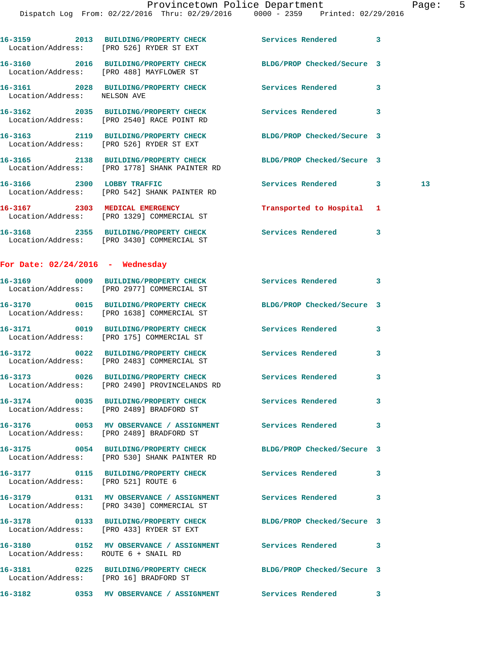Dispatch Log From: 02/22/2016 Thru: 02/29/2016 0000 - 2359 Printed: 02/29/2016

**16-3159 2013 BUILDING/PROPERTY CHECK Services Rendered 3**  Location/Address: [PRO 526] RYDER ST EXT **16-3160 2016 BUILDING/PROPERTY CHECK BLDG/PROP Checked/Secure 3**  Location/Address: [PRO 488] MAYFLOWER ST **16-3161 2028 BUILDING/PROPERTY CHECK Services Rendered 3**  Location/Address: NELSON AVE **16-3162 2035 BUILDING/PROPERTY CHECK Services Rendered 3**  Location/Address: [PRO 2540] RACE POINT RD **16-3163 2119 BUILDING/PROPERTY CHECK BLDG/PROP Checked/Secure 3**  Location/Address: [PRO 526] RYDER ST EXT **16-3165 2138 BUILDING/PROPERTY CHECK BLDG/PROP Checked/Secure 3**  Location/Address: [PRO 1778] SHANK PAINTER RD **16-3166 2300 LOBBY TRAFFIC Services Rendered 3 13**  Location/Address: [PRO 542] SHANK PAINTER RD **16-3167 2303 MEDICAL EMERGENCY Transported to Hospital 1**  Location/Address: [PRO 1329] COMMERCIAL ST **16-3168 2355 BUILDING/PROPERTY CHECK Services Rendered 3**  Location/Address: [PRO 3430] COMMERCIAL ST **For Date: 02/24/2016 - Wednesday 16-3169 0009 BUILDING/PROPERTY CHECK Services Rendered 3**  Location/Address: [PRO 2977] COMMERCIAL ST **16-3170 0015 BUILDING/PROPERTY CHECK BLDG/PROP Checked/Secure 3**  Location/Address: [PRO 1638] COMMERCIAL ST **16-3171 0019 BUILDING/PROPERTY CHECK Services Rendered 3**  Location/Address: [PRO 175] COMMERCIAL ST **16-3172 0022 BUILDING/PROPERTY CHECK Services Rendered 3**  Location/Address: [PRO 2483] COMMERCIAL ST **16-3173 0026 BUILDING/PROPERTY CHECK Services Rendered 3**  Location/Address: [PRO 2490] PROVINCELANDS RD **16-3174 0035 BUILDING/PROPERTY CHECK Services Rendered 3**  Location/Address: [PRO 2489] BRADFORD ST **16-3176 0053 MV OBSERVANCE / ASSIGNMENT Services Rendered 3**  Location/Address: [PRO 2489] BRADFORD ST **16-3175 0054 BUILDING/PROPERTY CHECK BLDG/PROP Checked/Secure 3**  Location/Address: [PRO 530] SHANK PAINTER RD **16-3177 0115 BUILDING/PROPERTY CHECK Services Rendered 3**  Location/Address: [PRO 521] ROUTE 6 **16-3179 0131 MV OBSERVANCE / ASSIGNMENT Services Rendered 3**  Location/Address: [PRO 3430] COMMERCIAL ST **16-3178 0133 BUILDING/PROPERTY CHECK BLDG/PROP Checked/Secure 3**  Location/Address: [PRO 433] RYDER ST EXT **16-3180 0152 MV OBSERVANCE / ASSIGNMENT Services Rendered 3**  Location/Address: ROUTE 6 + SNAIL RD **16-3181 0225 BUILDING/PROPERTY CHECK BLDG/PROP Checked/Secure 3**  Location/Address: [PRO 16] BRADFORD ST

**16-3182 0353 MV OBSERVANCE / ASSIGNMENT Services Rendered 3**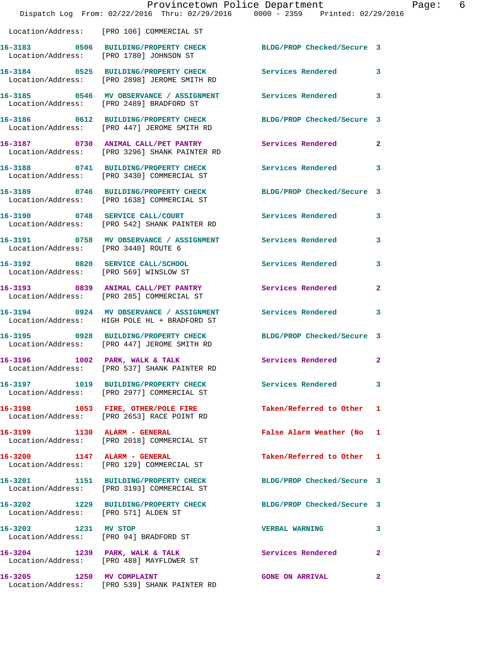|                                        | Provincetown Police Department<br>Dispatch Log From: 02/22/2016 Thru: 02/29/2016 0000 - 2359 Printed: 02/29/2016  |                            |              |
|----------------------------------------|-------------------------------------------------------------------------------------------------------------------|----------------------------|--------------|
|                                        | Location/Address: [PRO 106] COMMERCIAL ST                                                                         |                            |              |
|                                        | 16-3183 0506 BUILDING/PROPERTY CHECK<br>Location/Address: [PRO 1780] JOHNSON ST                                   | BLDG/PROP Checked/Secure 3 |              |
|                                        | 16-3184 0525 BUILDING/PROPERTY CHECK<br>Location/Address: [PRO 2898] JEROME SMITH RD                              | Services Rendered          | 3            |
|                                        | 16-3185 0546 MV OBSERVANCE / ASSIGNMENT Services Rendered<br>Location/Address: [PRO 2489] BRADFORD ST             |                            | 3            |
|                                        | 16-3186 0612 BUILDING/PROPERTY CHECK BLDG/PROP Checked/Secure 3<br>Location/Address: [PRO 447] JEROME SMITH RD    |                            |              |
|                                        | 16-3187 0730 ANIMAL CALL/PET PANTRY Services Rendered<br>Location/Address: [PRO 3296] SHANK PAINTER RD            |                            | $\mathbf{2}$ |
|                                        | 16-3188 0741 BUILDING/PROPERTY CHECK<br>Location/Address: [PRO 3430] COMMERCIAL ST                                | <b>Services Rendered</b>   | 3            |
|                                        | 16-3189 0746 BUILDING/PROPERTY CHECK BLDG/PROP Checked/Secure 3<br>Location/Address: [PRO 1638] COMMERCIAL ST     |                            |              |
|                                        | 16-3190 0748 SERVICE CALL/COURT<br>Location/Address: [PRO 542] SHANK PAINTER RD                                   | Services Rendered          | 3            |
|                                        | 16-3191      0758   MV OBSERVANCE / ASSIGNMENT       Services Rendered<br>Location/Address:    [PRO 3440] ROUTE 6 |                            | 3            |
| Location/Address: [PRO 569] WINSLOW ST | 16-3192 0820 SERVICE CALL/SCHOOL                                                                                  | <b>Services Rendered</b>   | 3            |
|                                        | 16-3193 0839 ANIMAL CALL/PET PANTRY<br>Location/Address: [PRO 285] COMMERCIAL ST                                  | Services Rendered          | $\mathbf{2}$ |
|                                        | 16-3194 0924 MV OBSERVANCE / ASSIGNMENT<br>Location/Address: HIGH POLE HL + BRADFORD ST                           | Services Rendered          | 3            |
|                                        | 16-3195 0928 BUILDING/PROPERTY CHECK BLDG/PROP Checked/Secure 3<br>Location/Address: [PRO 447] JEROME SMITH RD    |                            |              |
| 16-3196 1002 PARK, WALK & TALK         | Location/Address: [PRO 537] SHANK PAINTER RD                                                                      | Services Rendered 2        |              |
|                                        | 16-3197 1019 BUILDING/PROPERTY CHECK Services Rendered<br>Location/Address: [PRO 2977] COMMERCIAL ST              |                            | 3            |
|                                        | 16-3198 1053 FIRE, OTHER/POLE FIRE<br>Location/Address: [PRO 2653] RACE POINT RD                                  | Taken/Referred to Other    | 1            |
| 16-3199 1130 ALARM - GENERAL           | Location/Address: [PRO 2018] COMMERCIAL ST                                                                        | False Alarm Weather (No    | 1            |
|                                        | 16-3200 1147 ALARM - GENERAL<br>Location/Address: [PRO 129] COMMERCIAL ST                                         | Taken/Referred to Other 1  |              |
|                                        | 16-3201 1151 BUILDING/PROPERTY CHECK<br>Location/Address: [PRO 3193] COMMERCIAL ST                                | BLDG/PROP Checked/Secure 3 |              |
|                                        |                                                                                                                   | BLDG/PROP Checked/Secure 3 |              |
| 16-3203 1231 MV STOP                   | Location/Address: [PRO 94] BRADFORD ST                                                                            | <b>VERBAL WARNING</b>      | 3            |
|                                        | 16-3204 1239 PARK, WALK & TALK<br>Location/Address: [PRO 488] MAYFLOWER ST                                        | Services Rendered          | $\mathbf{2}$ |
| 16-3205 1250 MV COMPLAINT              | Location/Address: [PRO 539] SHANK PAINTER RD                                                                      | <b>GONE ON ARRIVAL</b>     | 2            |

Page: 6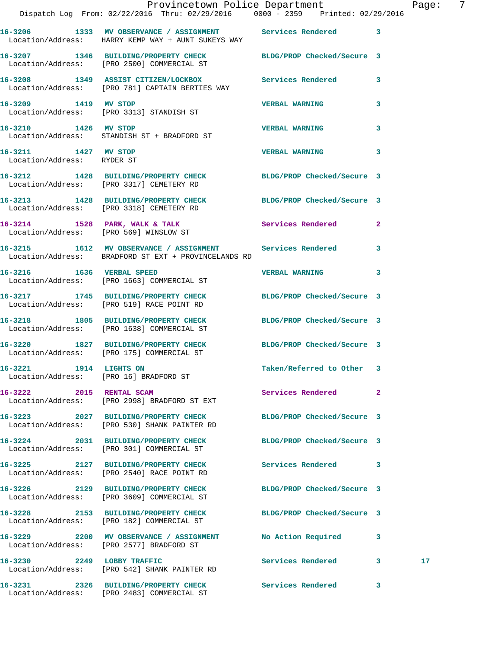|                                                                  | Provincetown Police Department Fage: 7<br>Dispatch Log From: 02/22/2016 Thru: 02/29/2016 0000 - 2359 Printed: 02/29/2016 |                            |              |                 |  |
|------------------------------------------------------------------|--------------------------------------------------------------------------------------------------------------------------|----------------------------|--------------|-----------------|--|
|                                                                  | 16-3206 1333 MV OBSERVANCE / ASSIGNMENT Services Rendered 3<br>Location/Address: HARRY KEMP WAY + AUNT SUKEYS WAY        |                            |              |                 |  |
|                                                                  | 16-3207 1346 BUILDING/PROPERTY CHECK BLDG/PROP Checked/Secure 3<br>Location/Address: [PRO 2500] COMMERCIAL ST            |                            |              |                 |  |
|                                                                  | 16-3208 1349 ASSIST CITIZEN/LOCKBOX 5ervices Rendered 3<br>Location/Address: [PRO 781] CAPTAIN BERTIES WAY               |                            |              |                 |  |
| 16-3209 1419 MV STOP                                             | Location/Address: [PRO 3313] STANDISH ST                                                                                 | <b>VERBAL WARNING</b>      | 3            |                 |  |
|                                                                  | 16-3210 1426 MV STOP<br>Location/Address: STANDISH ST + BRADFORD ST                                                      | <b>VERBAL WARNING</b>      | 3            |                 |  |
| 16-3211 1427 MV STOP<br>Location/Address: RYDER ST               |                                                                                                                          | <b>VERBAL WARNING</b>      | 3            |                 |  |
|                                                                  | 16-3212 1428 BUILDING/PROPERTY CHECK BLDG/PROP Checked/Secure 3<br>Location/Address: [PRO 3317] CEMETERY RD              |                            |              |                 |  |
|                                                                  | 16-3213 1428 BUILDING/PROPERTY CHECK BLDG/PROP Checked/Secure 3<br>Location/Address: [PRO 3318] CEMETERY RD              |                            |              |                 |  |
|                                                                  | 16-3214 1528 PARK, WALK & TALK 1988 Services Rendered 2<br>Location/Address: [PRO 569] WINSLOW ST                        |                            |              |                 |  |
|                                                                  | 16-3215 1612 MV OBSERVANCE / ASSIGNMENT Services Rendered<br>Location/Address: BRADFORD ST EXT + PROVINCELANDS RD        |                            | 3            |                 |  |
|                                                                  | 16-3216 1636 VERBAL SPEED<br>Location/Address: [PRO 1663] COMMERCIAL ST                                                  | VERBAL WARNING 3           |              |                 |  |
|                                                                  | 16-3217 1745 BUILDING/PROPERTY CHECK BLDG/PROP Checked/Secure 3<br>Location/Address: [PRO 519] RACE POINT RD             |                            |              |                 |  |
|                                                                  | 16-3218 1805 BUILDING/PROPERTY CHECK BLDG/PROP Checked/Secure 3<br>Location/Address: [PRO 1638] COMMERCIAL ST            |                            |              |                 |  |
|                                                                  | 16-3220 1827 BUILDING/PROPERTY CHECK BLDG/PROP Checked/Secure 3<br>Location/Address: [PRO 175] COMMERCIAL ST             |                            |              |                 |  |
| 16-3221 1914 LIGHTS ON<br>Location/Address: [PRO 16] BRADFORD ST |                                                                                                                          | Taken/Referred to Other 3  |              |                 |  |
| 16-3222 2015 RENTAL SCAM                                         | Location/Address: [PRO 2998] BRADFORD ST EXT                                                                             | Services Rendered 2        |              |                 |  |
|                                                                  | 16-3223 2027 BUILDING/PROPERTY CHECK<br>Location/Address: [PRO 530] SHANK PAINTER RD                                     | BLDG/PROP Checked/Secure 3 |              |                 |  |
|                                                                  | 16-3224 2031 BUILDING/PROPERTY CHECK BLDG/PROP Checked/Secure 3<br>Location/Address: [PRO 301] COMMERCIAL ST             |                            |              |                 |  |
|                                                                  | 16-3225 2127 BUILDING/PROPERTY CHECK<br>Location/Address: [PRO 2540] RACE POINT RD                                       | Services Rendered 3        |              |                 |  |
|                                                                  | 16-3226 2129 BUILDING/PROPERTY CHECK BLDG/PROP Checked/Secure 3<br>Location/Address: [PRO 3609] COMMERCIAL ST            |                            |              |                 |  |
|                                                                  | 16-3228 2153 BUILDING/PROPERTY CHECK BLDG/PROP Checked/Secure 3<br>Location/Address: [PRO 182] COMMERCIAL ST             |                            |              |                 |  |
|                                                                  | 16-3229 2200 MV OBSERVANCE / ASSIGNMENT<br>Location/Address: [PRO 2577] BRADFORD ST                                      | No Action Required 3       |              |                 |  |
| 16-3230 2249 LOBBY TRAFFIC                                       | Location/Address: [PRO 542] SHANK PAINTER RD                                                                             | Services Rendered 3        |              | 17 <sub>2</sub> |  |
|                                                                  |                                                                                                                          |                            | $\mathbf{3}$ |                 |  |

Location/Address: [PRO 2483] COMMERCIAL ST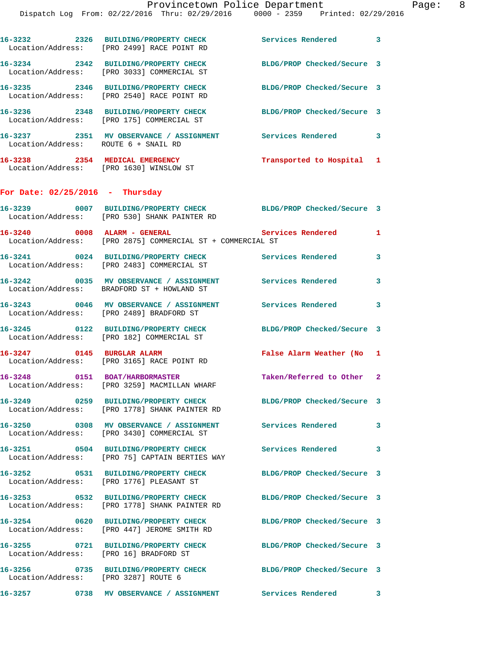Dispatch Log From: 02/22/2016 Thru: 02/29/2016 0000 - 2359 Printed: 02/29/2016

**16-3232 2326 BUILDING/PROPERTY CHECK Services Rendered 3**  Location/Address: [PRO 2499] RACE POINT RD **16-3234 2342 BUILDING/PROPERTY CHECK BLDG/PROP Checked/Secure 3**  Location/Address: [PRO 3033] COMMERCIAL ST **16-3235 2346 BUILDING/PROPERTY CHECK BLDG/PROP Checked/Secure 3**  Location/Address: [PRO 2540] RACE POINT RD **16-3236 2348 BUILDING/PROPERTY CHECK BLDG/PROP Checked/Secure 3**  Location/Address: [PRO 175] COMMERCIAL ST **16-3237 2351 MV OBSERVANCE / ASSIGNMENT Services Rendered 3**  Location/Address: ROUTE 6 + SNAIL RD **16-3238 2354 MEDICAL EMERGENCY Transported to Hospital 1**  Location/Address: [PRO 1630] WINSLOW ST **For Date: 02/25/2016 - Thursday 16-3239 0007 BUILDING/PROPERTY CHECK BLDG/PROP Checked/Secure 3**  Location/Address: [PRO 530] SHANK PAINTER RD **16-3240 0008 ALARM - GENERAL Services Rendered 1**  Location/Address: [PRO 2875] COMMERCIAL ST + COMMERCIAL ST **16-3241 0024 BUILDING/PROPERTY CHECK Services Rendered 3**  Location/Address: [PRO 2483] COMMERCIAL ST **16-3242 0035 MV OBSERVANCE / ASSIGNMENT Services Rendered 3**  Location/Address: BRADFORD ST + HOWLAND ST **16-3243 0046 MV OBSERVANCE / ASSIGNMENT Services Rendered 3**  Location/Address: [PRO 2489] BRADFORD ST **16-3245 0122 BUILDING/PROPERTY CHECK BLDG/PROP Checked/Secure 3**  Location/Address: [PRO 182] COMMERCIAL ST **16-3247 0145 BURGLAR ALARM False Alarm Weather (No 1**  Location/Address: [PRO 3165] RACE POINT RD **16-3248 0151 BOAT/HARBORMASTER Taken/Referred to Other 2**  Location/Address: [PRO 3259] MACMILLAN WHARF **16-3249 0259 BUILDING/PROPERTY CHECK BLDG/PROP Checked/Secure 3**  Location/Address: [PRO 1778] SHANK PAINTER RD **16-3250 0308 MV OBSERVANCE / ASSIGNMENT Services Rendered 3**  Location/Address: [PRO 3430] COMMERCIAL ST **16-3251 0504 BUILDING/PROPERTY CHECK Services Rendered 3**  [PRO 75] CAPTAIN BERTIES WAY **16-3252 0531 BUILDING/PROPERTY CHECK BLDG/PROP Checked/Secure 3**  Location/Address: [PRO 1776] PLEASANT ST **16-3253 0532 BUILDING/PROPERTY CHECK BLDG/PROP Checked/Secure 3**  Location/Address: [PRO 1778] SHANK PAINTER RD **16-3254 0620 BUILDING/PROPERTY CHECK BLDG/PROP Checked/Secure 3**  Location/Address: [PRO 447] JEROME SMITH RD **16-3255 0721 BUILDING/PROPERTY CHECK BLDG/PROP Checked/Secure 3**  Location/Address: [PRO 16] BRADFORD ST **16-3256 0735 BUILDING/PROPERTY CHECK BLDG/PROP Checked/Secure 3**  Location/Address: [PRO 3287] ROUTE 6 **16-3257 0738 MV OBSERVANCE / ASSIGNMENT Services Rendered 3**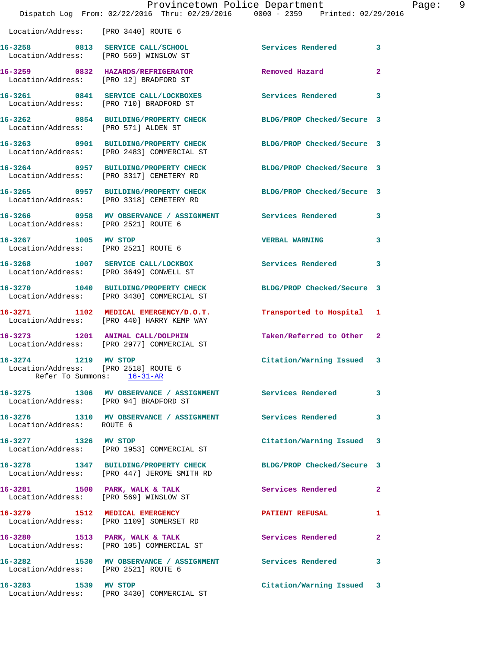|                                                                             | Provincetown Police Department<br>Dispatch Log From: 02/22/2016 Thru: 02/29/2016 0000 - 2359 Printed: 02/29/2016 |                            |                |
|-----------------------------------------------------------------------------|------------------------------------------------------------------------------------------------------------------|----------------------------|----------------|
| Location/Address: [PRO 3440] ROUTE 6                                        |                                                                                                                  |                            |                |
| Location/Address: [PRO 569] WINSLOW ST                                      | 16-3258 0813 SERVICE CALL/SCHOOL                                                                                 | Services Rendered          | 3              |
| 16-3259 0832 HAZARDS/REFRIGERATOR<br>Location/Address: [PRO 12] BRADFORD ST |                                                                                                                  | Removed Hazard             | $\mathbf{2}$   |
|                                                                             | 16-3261 0841 SERVICE CALL/LOCKBOXES<br>Location/Address: [PRO 710] BRADFORD ST                                   | <b>Services Rendered</b>   | 3              |
| Location/Address: [PRO 571] ALDEN ST                                        | 16-3262 0854 BUILDING/PROPERTY CHECK                                                                             | BLDG/PROP Checked/Secure 3 |                |
|                                                                             | 16-3263 0901 BUILDING/PROPERTY CHECK<br>Location/Address: [PRO 2483] COMMERCIAL ST                               | BLDG/PROP Checked/Secure 3 |                |
|                                                                             | 16-3264 0957 BUILDING/PROPERTY CHECK<br>Location/Address: [PRO 3317] CEMETERY RD                                 | BLDG/PROP Checked/Secure 3 |                |
|                                                                             | 16-3265 0957 BUILDING/PROPERTY CHECK<br>Location/Address: [PRO 3318] CEMETERY RD                                 | BLDG/PROP Checked/Secure 3 |                |
| Location/Address: [PRO 2521] ROUTE 6                                        | 16-3266       0958   MV OBSERVANCE / ASSIGNMENT      Services Rendered                                           |                            | 3              |
| 16-3267 1005 MV STOP                                                        | Location/Address: [PRO 2521] ROUTE 6                                                                             | <b>VERBAL WARNING</b>      | 3              |
| Location/Address: [PRO 3649] CONWELL ST                                     | 16-3268 1007 SERVICE CALL/LOCKBOX                                                                                | Services Rendered          | 3              |
|                                                                             | 16-3270 1040 BUILDING/PROPERTY CHECK<br>Location/Address: [PRO 3430] COMMERCIAL ST                               | BLDG/PROP Checked/Secure 3 |                |
|                                                                             | 16-3271 1102 MEDICAL EMERGENCY/D.O.T.<br>Location/Address: [PRO 440] HARRY KEMP WAY                              | Transported to Hospital    | 1              |
|                                                                             | 16-3273 1201 ANIMAL CALL/DOLPHIN<br>Location/Address: [PRO 2977] COMMERCIAL ST                                   | Taken/Referred to Other    | $\mathbf{2}$   |
| 1219<br>16-3274<br>Location/Address: [PRO 2518] ROUTE 6                     | MV STOP<br>Refer To Summons: 16-31-AR                                                                            | Citation/Warning Issued    | 3              |
| Location/Address: [PRO 94] BRADFORD ST                                      | 16-3275 1306 MV OBSERVANCE / ASSIGNMENT Services Rendered                                                        |                            | 3              |
| Location/Address: ROUTE 6                                                   | 16-3276 1310 MV OBSERVANCE / ASSIGNMENT Services Rendered                                                        |                            | 3              |
| 16-3277 1326 MV STOP                                                        | Location/Address: [PRO 1953] COMMERCIAL ST                                                                       | Citation/Warning Issued    | 3              |
|                                                                             | 16-3278 1347 BUILDING/PROPERTY CHECK<br>Location/Address: [PRO 447] JEROME SMITH RD                              | BLDG/PROP Checked/Secure 3 |                |
|                                                                             | 16-3281 1500 PARK, WALK & TALK<br>Location/Address: [PRO 569] WINSLOW ST                                         | Services Rendered          | $\overline{a}$ |
|                                                                             | 16-3279 1512 MEDICAL EMERGENCY<br>Location/Address: [PRO 1109] SOMERSET RD                                       | <b>PATIENT REFUSAL</b>     | 1              |
|                                                                             | 16-3280 1513 PARK, WALK & TALK<br>Location/Address: [PRO 105] COMMERCIAL ST                                      | Services Rendered          | $\mathbf{2}$   |
| Location/Address: [PRO 2521] ROUTE 6                                        | 16-3282 1530 MV OBSERVANCE / ASSIGNMENT Services Rendered                                                        |                            | 3              |
| 16-3283 1539 MV STOP                                                        | Location/Address: [PRO 3430] COMMERCIAL ST                                                                       | Citation/Warning Issued    | 3              |

Page: 9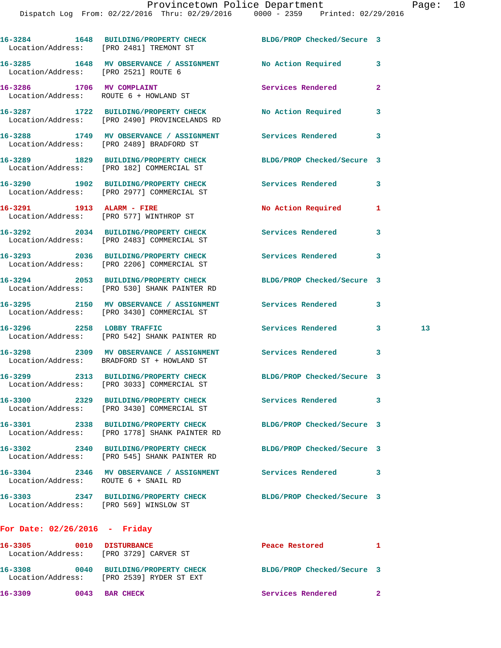|                                        | 16-3284 1648 BUILDING/PROPERTY CHECK BLDG/PROP Checked/Secure 3<br>Location/Address: [PRO 2481] TREMONT ST      |                            |              |    |
|----------------------------------------|-----------------------------------------------------------------------------------------------------------------|----------------------------|--------------|----|
|                                        | 16-3285 1648 MV OBSERVANCE / ASSIGNMENT No Action Required 3<br>Location/Address: [PRO 2521] ROUTE 6            |                            |              |    |
|                                        | 16-3286 1706 MV COMPLAINT<br>Location/Address: ROUTE 6 + HOWLAND ST                                             | Services Rendered          | $\mathbf{2}$ |    |
|                                        | 16-3287 1722 BUILDING/PROPERTY CHECK No Action Required<br>Location/Address: [PRO 2490] PROVINCELANDS RD        |                            | 3            |    |
|                                        | 16-3288 1749 MV OBSERVANCE / ASSIGNMENT Services Rendered<br>Location/Address: [PRO 2489] BRADFORD ST           |                            | 3            |    |
|                                        | 16-3289 1829 BUILDING/PROPERTY CHECK BLDG/PROP Checked/Secure 3<br>Location/Address: [PRO 182] COMMERCIAL ST    |                            |              |    |
|                                        | 16-3290 1902 BUILDING/PROPERTY CHECK Services Rendered<br>Location/Address: [PRO 2977] COMMERCIAL ST            |                            | 3            |    |
|                                        | 16-3291 1913 ALARM - FIRE<br>Location/Address: [PRO 577] WINTHROP ST                                            | No Action Required         | 1            |    |
|                                        | 16-3292 2034 BUILDING/PROPERTY CHECK Services Rendered<br>Location/Address: [PRO 2483] COMMERCIAL ST            |                            | 3            |    |
|                                        | 16-3293 2036 BUILDING/PROPERTY CHECK Services Rendered 3<br>Location/Address: [PRO 2206] COMMERCIAL ST          |                            |              |    |
|                                        | 16-3294 2053 BUILDING/PROPERTY CHECK BLDG/PROP Checked/Secure 3<br>Location/Address: [PRO 530] SHANK PAINTER RD |                            |              |    |
|                                        | 16-3295 2150 MV OBSERVANCE / ASSIGNMENT Services Rendered 3<br>Location/Address: [PRO 3430] COMMERCIAL ST       |                            |              |    |
|                                        | 16-3296 2258 LOBBY TRAFFIC<br>Location/Address: [PRO 542] SHANK PAINTER RD                                      | Services Rendered 3        |              | 13 |
|                                        | 16-3298 2309 MV OBSERVANCE / ASSIGNMENT Services Rendered<br>Location/Address: BRADFORD ST + HOWLAND ST         |                            | 3            |    |
|                                        | 16-3299 2313 BUILDING/PROPERTY CHECK<br>Location/Address: [PRO 3033] COMMERCIAL ST                              | BLDG/PROP Checked/Secure 3 |              |    |
|                                        | 16-3300 2329 BUILDING/PROPERTY CHECK<br>Location/Address: [PRO 3430] COMMERCIAL ST                              | <b>Services Rendered</b>   | 3            |    |
|                                        | 16-3301 2338 BUILDING/PROPERTY CHECK<br>Location/Address: [PRO 1778] SHANK PAINTER RD                           | BLDG/PROP Checked/Secure 3 |              |    |
|                                        | 16-3302 2340 BUILDING/PROPERTY CHECK<br>Location/Address: [PRO 545] SHANK PAINTER RD                            | BLDG/PROP Checked/Secure 3 |              |    |
| Location/Address: ROUTE 6 + SNAIL RD   | 16-3304 2346 MV OBSERVANCE / ASSIGNMENT Services Rendered                                                       |                            | 3            |    |
| Location/Address: [PRO 569] WINSLOW ST | 16-3303 2347 BUILDING/PROPERTY CHECK                                                                            | BLDG/PROP Checked/Secure 3 |              |    |
|                                        |                                                                                                                 |                            |              |    |

## **For Date: 02/26/2016 - Friday**

| 16-3305<br>Location/Address: | 0010 | <b>DISTURBANCE</b><br>[PRO 3729] CARVER ST                | Peace Restored             |  |
|------------------------------|------|-----------------------------------------------------------|----------------------------|--|
| 16-3308<br>Location/Address: | 0040 | <b>BUILDING/PROPERTY CHECK</b><br>FPRO 25391 RYDER ST EXT | BLDG/PROP Checked/Secure 3 |  |
| 16-3309                      | 0043 | <b>BAR CHECK</b>                                          | Services Rendered          |  |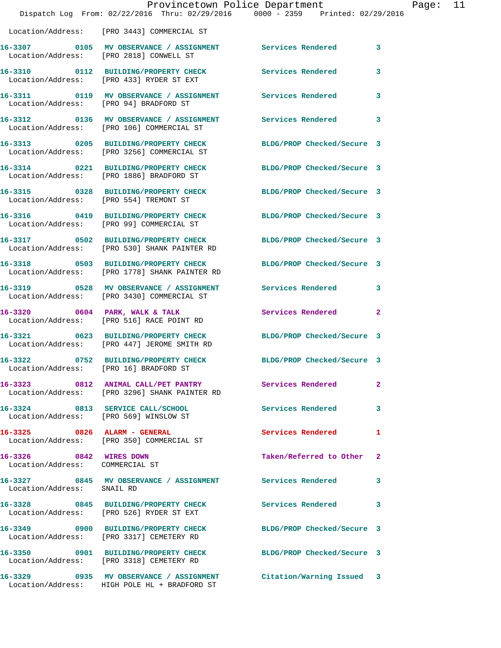|                                                            |                                                                                  | Provincetown Police Department                                                                                   | Ρa           |  |
|------------------------------------------------------------|----------------------------------------------------------------------------------|------------------------------------------------------------------------------------------------------------------|--------------|--|
|                                                            |                                                                                  | Dispatch Log From: 02/22/2016 Thru: 02/29/2016 0000 - 2359 Printed: 02/29/2016                                   |              |  |
|                                                            | Location/Address: [PRO 3443] COMMERCIAL ST                                       |                                                                                                                  |              |  |
|                                                            |                                                                                  | 16-3307 0105 MV OBSERVANCE / ASSIGNMENT Services Rendered 3<br>Location/Address: [PRO 2818] CONWELL ST           |              |  |
|                                                            |                                                                                  | 16-3310 0112 BUILDING/PROPERTY CHECK Services Rendered<br>Location/Address: [PRO 433] RYDER ST EXT               | 3            |  |
|                                                            | Location/Address: [PRO 94] BRADFORD ST                                           | 16-3311 0119 MV OBSERVANCE / ASSIGNMENT Services Rendered                                                        | 3            |  |
|                                                            | Location/Address: [PRO 106] COMMERCIAL ST                                        | 16-3312 0136 MV OBSERVANCE / ASSIGNMENT Services Rendered 3                                                      |              |  |
|                                                            | Location/Address: [PRO 3256] COMMERCIAL ST                                       | 16-3313 0205 BUILDING/PROPERTY CHECK BLDG/PROP Checked/Secure 3                                                  |              |  |
|                                                            | Location/Address: [PRO 1886] BRADFORD ST                                         | 16-3314 0221 BUILDING/PROPERTY CHECK BLDG/PROP Checked/Secure 3                                                  |              |  |
| Location/Address: [PRO 554] TREMONT ST                     |                                                                                  | 16-3315 0328 BUILDING/PROPERTY CHECK BLDG/PROP Checked/Secure 3                                                  |              |  |
|                                                            | Location/Address: [PRO 99] COMMERCIAL ST                                         | 16-3316 0419 BUILDING/PROPERTY CHECK BLDG/PROP Checked/Secure 3                                                  |              |  |
|                                                            |                                                                                  | 16-3317 0502 BUILDING/PROPERTY CHECK BLDG/PROP Checked/Secure 3<br>Location/Address: [PRO 530] SHANK PAINTER RD  |              |  |
|                                                            |                                                                                  | 16-3318 0503 BUILDING/PROPERTY CHECK BLDG/PROP Checked/Secure 3<br>Location/Address: [PRO 1778] SHANK PAINTER RD |              |  |
|                                                            |                                                                                  | 16-3319 0528 MV OBSERVANCE / ASSIGNMENT Services Rendered<br>Location/Address: [PRO 3430] COMMERCIAL ST          | 3            |  |
|                                                            | 16-3320 0604 PARK, WALK & TALK<br>Location/Address: [PRO 516] RACE POINT RD      | Services Rendered                                                                                                | $\mathbf{2}$ |  |
|                                                            | Location/Address: [PRO 447] JEROME SMITH RD                                      | 16-3321 0623 BUILDING/PROPERTY CHECK BLDG/PROP Checked/Secure 3                                                  |              |  |
| Location/Address: [PRO 16] BRADFORD ST                     | 16-3322 0752 BUILDING/PROPERTY CHECK                                             | BLDG/PROP Checked/Secure 3                                                                                       |              |  |
|                                                            | Location/Address: [PRO 3296] SHANK PAINTER RD                                    | 16-3323 0812 ANIMAL CALL/PET PANTRY Services Rendered                                                            | $\mathbf{2}$ |  |
|                                                            | 16-3324 0813 SERVICE CALL/SCHOOL<br>Location/Address: [PRO 569] WINSLOW ST       | <b>Services Rendered</b>                                                                                         | 3            |  |
|                                                            | 16-3325 0826 ALARM - GENERAL<br>Location/Address: [PRO 350] COMMERCIAL ST        | Services Rendered                                                                                                | 1            |  |
| 16-3326 0842 WIRES DOWN<br>Location/Address: COMMERCIAL ST |                                                                                  | Taken/Referred to Other                                                                                          | $\mathbf{2}$ |  |
| Location/Address: SNAIL RD                                 |                                                                                  | 16-3327 0845 MV OBSERVANCE / ASSIGNMENT Services Rendered                                                        | 3            |  |
|                                                            | Location/Address: [PRO 526] RYDER ST EXT                                         | 16-3328 0845 BUILDING/PROPERTY CHECK Services Rendered                                                           | 3            |  |
|                                                            | 16-3349 0900 BUILDING/PROPERTY CHECK<br>Location/Address: [PRO 3317] CEMETERY RD | BLDG/PROP Checked/Secure 3                                                                                       |              |  |
|                                                            | 16-3350 0901 BUILDING/PROPERTY CHECK<br>Location/Address: [PRO 3318] CEMETERY RD | BLDG/PROP Checked/Secure 3                                                                                       |              |  |
|                                                            | Location/Address: HIGH POLE HL + BRADFORD ST                                     | 16-3329 0935 MV OBSERVANCE / ASSIGNMENT Citation/Warning Issued 3                                                |              |  |

age: 11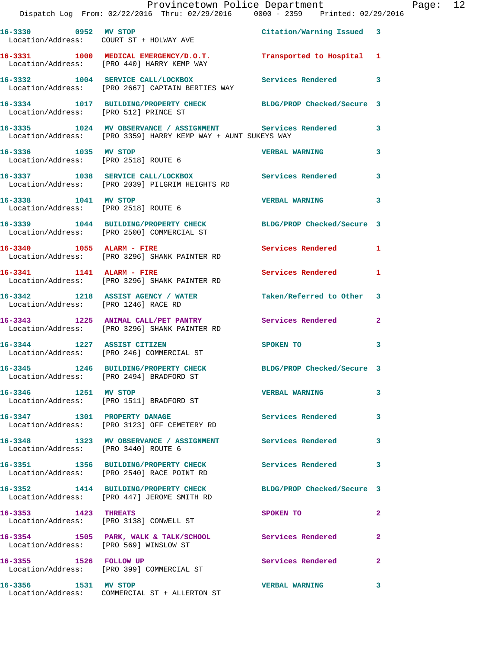|                                        | Provincetown Police Department<br>Dispatch Log From: 02/22/2016 Thru: 02/29/2016 0000 - 2359 Printed: 02/29/2016             |                            |              | Page: 12 |  |
|----------------------------------------|------------------------------------------------------------------------------------------------------------------------------|----------------------------|--------------|----------|--|
|                                        | 16-3330 0952 MV STOP                                                                                                         | Citation/Warning Issued 3  |              |          |  |
|                                        | Location/Address: COURT ST + HOLWAY AVE                                                                                      |                            |              |          |  |
|                                        | 16-3331 1000 MEDICAL EMERGENCY/D.O.T. Transported to Hospital 1<br>Location/Address: [PRO 440] HARRY KEMP WAY                |                            |              |          |  |
|                                        | 16-3332 1004 SERVICE CALL/LOCKBOX Services Rendered 3<br>Location/Address: [PRO 2667] CAPTAIN BERTIES WAY                    |                            |              |          |  |
|                                        | 16-3334 1017 BUILDING/PROPERTY CHECK BLDG/PROP Checked/Secure 3<br>Location/Address: [PRO 512] PRINCE ST                     |                            |              |          |  |
|                                        | 16-3335 1024 MV OBSERVANCE / ASSIGNMENT Services Rendered 3<br>Location/Address: [PRO 3359] HARRY KEMP WAY + AUNT SUKEYS WAY |                            |              |          |  |
|                                        | 16-3336 1035 MV STOP 100 1000 2000 2000 VERBAL WARNING<br>Location/Address: [PRO 2518] ROUTE 6                               |                            | $\mathbf{3}$ |          |  |
|                                        | 16-3337 1038 SERVICE CALL/LOCKBOX 5ervices Rendered 3<br>Location/Address: [PRO 2039] PILGRIM HEIGHTS RD                     |                            |              |          |  |
|                                        | 16-3338 1041 MV STOP 10 1000 1000 VERBAL WARNING 3<br>Location/Address: [PRO 2518] ROUTE 6                                   |                            |              |          |  |
|                                        | 16-3339 1044 BUILDING/PROPERTY CHECK BLDG/PROP Checked/Secure 3<br>Location/Address: [PRO 2500] COMMERCIAL ST                |                            |              |          |  |
|                                        | 16-3340 1055 ALARM - FIRE<br>Location/Address: [PRO 3296] SHANK PAINTER RD                                                   | Services Rendered 1        |              |          |  |
| 16-3341 1141 ALARM - FIRE              | Location/Address: [PRO 3296] SHANK PAINTER RD                                                                                | <b>Services Rendered</b> 1 |              |          |  |
| Location/Address: [PRO 1246] RACE RD   | 16-3342 1218 ASSIST AGENCY / WATER Taken/Referred to Other 3                                                                 |                            |              |          |  |
|                                        | 16-3343 1225 ANIMAL CALL/PET PANTRY Services Rendered 2<br>Location/Address: [PRO 3296] SHANK PAINTER RD                     |                            |              |          |  |
|                                        | 16-3344 1227 ASSIST CITIZEN<br>Location/Address: [PRO 246] COMMERCIAL ST                                                     | SPOKEN TO 3                |              |          |  |
|                                        | 16-3345 1246 BUILDING/PROPERTY CHECK<br>Location/Address: [PRO 2494] BRADFORD ST                                             | BLDG/PROP Checked/Secure 3 |              |          |  |
| 16-3346 1251 MV STOP                   | Location/Address: [PRO 1511] BRADFORD ST                                                                                     | <b>VERBAL WARNING</b>      | $\mathbf{3}$ |          |  |
|                                        | 16-3347 1301 PROPERTY DAMAGE<br>Location/Address: [PRO 3123] OFF CEMETERY RD                                                 | Services Rendered 3        |              |          |  |
| Location/Address: [PRO 3440] ROUTE 6   | 16-3348 1323 MV OBSERVANCE / ASSIGNMENT Services Rendered                                                                    |                            | 3            |          |  |
|                                        | 16-3351 1356 BUILDING/PROPERTY CHECK Services Rendered 3<br>Location/Address: [PRO 2540] RACE POINT RD                       |                            |              |          |  |
|                                        | 16-3352 1414 BUILDING/PROPERTY CHECK BLDG/PROP Checked/Secure 3<br>Location/Address: [PRO 447] JEROME SMITH RD               |                            |              |          |  |
| 16-3353 1423 THREATS                   | Location/Address: [PRO 3138] CONWELL ST                                                                                      | SPOKEN TO                  | $\mathbf{2}$ |          |  |
| Location/Address: [PRO 569] WINSLOW ST | 16-3354 1505 PARK, WALK & TALK/SCHOOL Services Rendered                                                                      |                            | $\mathbf{2}$ |          |  |
| 16-3355 1526 FOLLOW UP                 | Location/Address: [PRO 399] COMMERCIAL ST                                                                                    | Services Rendered          | $\mathbf{2}$ |          |  |
| 16-3356 1531 MV STOP                   | Location/Address: COMMERCIAL ST + ALLERTON ST                                                                                | <b>VERBAL WARNING</b>      | 3            |          |  |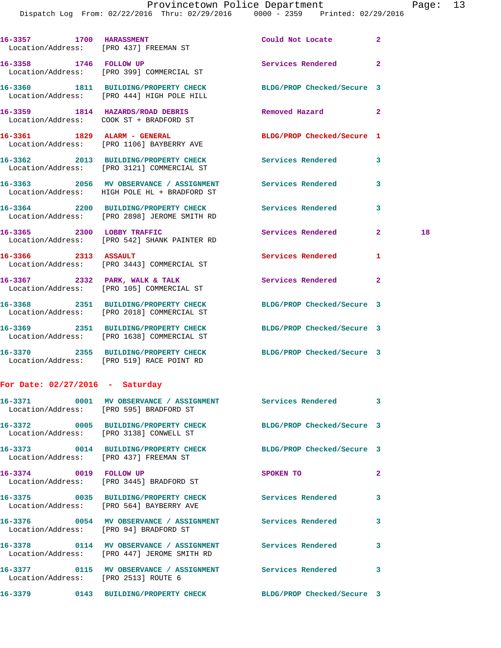Dispatch Log From: 02/22/2016 Thru: 02/29/2016 0000 - 2359 Printed: 02/29/2016

|                            | 16-3357 1700 HARASSMENT<br>Location/Address: [PRO 437] FREEMAN ST                                             | Could Not Locate           | $\mathbf{2}$   |    |
|----------------------------|---------------------------------------------------------------------------------------------------------------|----------------------------|----------------|----|
| 16-3358 1746 FOLLOW UP     | Location/Address: [PRO 399] COMMERCIAL ST                                                                     | <b>Services Rendered</b>   | $\mathbf{2}$   |    |
|                            | 16-3360 1811 BUILDING/PROPERTY CHECK BLDG/PROP Checked/Secure 3<br>Location/Address: [PRO 444] HIGH POLE HILL |                            |                |    |
|                            | 16-3359 1814 HAZARDS/ROAD DEBRIS<br>Location/Address: COOK ST + BRADFORD ST                                   | Removed Hazard             | $\overline{2}$ |    |
|                            | 16-3361 1829 ALARM - GENERAL<br>Location/Address: [PRO 1106] BAYBERRY AVE                                     | BLDG/PROP Checked/Secure 1 |                |    |
|                            | 16-3362 2013 BUILDING/PROPERTY CHECK Services Rendered<br>Location/Address: [PRO 3121] COMMERCIAL ST          |                            | 3              |    |
|                            | 16-3363 2056 MV OBSERVANCE / ASSIGNMENT Services Rendered<br>Location/Address: HIGH POLE HL + BRADFORD ST     |                            | 3              |    |
|                            | 16-3364 2200 BUILDING/PROPERTY CHECK Services Rendered<br>Location/Address: [PRO 2898] JEROME SMITH RD        |                            | 3              |    |
| 16-3365 2300 LOBBY TRAFFIC | Location/Address: [PRO 542] SHANK PAINTER RD                                                                  | Services Rendered          | $\mathbf{2}$   | 18 |
| 16-3366 2313 ASSAULT       | Location/Address: [PRO 3443] COMMERCIAL ST                                                                    | <b>Services Rendered</b>   | 1              |    |
|                            | 16-3367 2332 PARK, WALK & TALK<br>Location/Address: [PRO 105] COMMERCIAL ST                                   | <b>Services Rendered</b>   | $\mathbf{2}$   |    |
|                            | 16-3368 2351 BUILDING/PROPERTY CHECK BLDG/PROP Checked/Secure 3<br>Location/Address: [PRO 2018] COMMERCIAL ST |                            |                |    |
|                            | 16-3369 2351 BUILDING/PROPERTY CHECK<br>Location/Address: [PRO 1638] COMMERCIAL ST                            | BLDG/PROP Checked/Secure 3 |                |    |

**16-3370 2355 BUILDING/PROPERTY CHECK BLDG/PROP Checked/Secure 3**  Location/Address: [PRO 519] RACE POINT RD

## **For Date: 02/27/2016 - Saturday**

| Location/Address: [PRO 595] BRADFORD ST | 16-3371 0001 MV OBSERVANCE / ASSIGNMENT Services Rendered                                                |                            | $\overline{\mathbf{3}}$ |
|-----------------------------------------|----------------------------------------------------------------------------------------------------------|----------------------------|-------------------------|
| Location/Address: [PRO 3138] CONWELL ST | 16-3372 0005 BUILDING/PROPERTY CHECK BLDG/PROP Checked/Secure 3                                          |                            |                         |
| Location/Address: [PRO 437] FREEMAN ST  | 16-3373 0014 BUILDING/PROPERTY CHECK                                                                     | BLDG/PROP Checked/Secure 3 |                         |
| 16-3374 0019 FOLLOW UP                  | Location/Address: [PRO 3445] BRADFORD ST                                                                 | SPOKEN TO                  | $\overline{2}$          |
|                                         | 16-3375 0035 BUILDING/PROPERTY CHECK Services Rendered<br>Location/Address: [PRO 564] BAYBERRY AVE       |                            | 3                       |
| Location/Address: [PRO 94] BRADFORD ST  |                                                                                                          |                            | $\mathbf{3}$            |
|                                         | 16-3378 0114 MV OBSERVANCE / ASSIGNMENT Services Rendered<br>Location/Address: [PRO 447] JEROME SMITH RD |                            | $\mathbf{3}$            |
| Location/Address: [PRO 2513] ROUTE 6    | 16-3377  0115 MV OBSERVANCE / ASSIGNMENT Services Rendered                                               |                            | 3                       |
|                                         | 16-3379 0143 BUILDING/PROPERTY CHECK BLDG/PROP Checked/Secure 3                                          |                            |                         |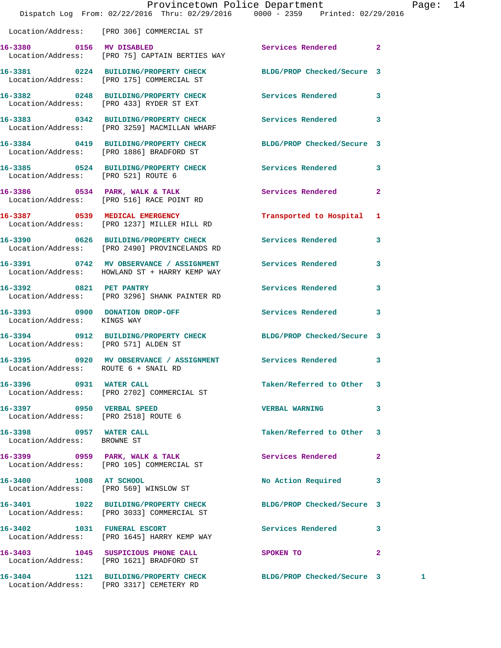|                                                                   | Dispatch Log From: 02/22/2016 Thru: 02/29/2016 0000 - 2359 Printed: 02/29/2016                                | Provincetown Police Department |              | Page: 14 |  |
|-------------------------------------------------------------------|---------------------------------------------------------------------------------------------------------------|--------------------------------|--------------|----------|--|
|                                                                   | Location/Address: [PRO 306] COMMERCIAL ST                                                                     |                                |              |          |  |
|                                                                   | 16-3380 0156 MV DISABLED<br>Location/Address: [PRO 75] CAPTAIN BERTIES WAY                                    | Services Rendered 2            |              |          |  |
|                                                                   | 16-3381 0224 BUILDING/PROPERTY CHECK BLDG/PROP Checked/Secure 3<br>Location/Address: [PRO 175] COMMERCIAL ST  |                                |              |          |  |
|                                                                   | 16-3382 0248 BUILDING/PROPERTY CHECK Services Rendered 3<br>Location/Address: [PRO 433] RYDER ST EXT          |                                |              |          |  |
|                                                                   | 16-3383 0342 BUILDING/PROPERTY CHECK Services Rendered 3<br>Location/Address: [PRO 3259] MACMILLAN WHARF      |                                |              |          |  |
|                                                                   | 16-3384 0419 BUILDING/PROPERTY CHECK BLDG/PROP Checked/Secure 3<br>Location/Address: [PRO 1886] BRADFORD ST   |                                |              |          |  |
| Location/Address: [PRO 521] ROUTE 6                               | 16-3385 0524 BUILDING/PROPERTY CHECK Services Rendered 3                                                      |                                |              |          |  |
|                                                                   | 16-3386 0534 PARK, WALK & TALK<br>Location/Address: [PRO 516] RACE POINT RD                                   | Services Rendered              | $\mathbf{2}$ |          |  |
|                                                                   | 16-3387 0539 MEDICAL EMERGENCY<br>Location/Address: [PRO 1237] MILLER HILL RD                                 | Transported to Hospital 1      |              |          |  |
|                                                                   | 16-3390 0626 BUILDING/PROPERTY CHECK<br>Location/Address: [PRO 2490] PROVINCELANDS RD                         | Services Rendered 3            |              |          |  |
|                                                                   | 16-3391 0742 MV OBSERVANCE / ASSIGNMENT Services Rendered 3<br>Location/Address: HOWLAND ST + HARRY KEMP WAY  |                                |              |          |  |
|                                                                   | 16-3392 0821 PET PANTRY<br>Location/Address: [PRO 3296] SHANK PAINTER RD                                      | Services Rendered              | $\mathbf{3}$ |          |  |
| Location/Address: KINGS WAY                                       | 16-3393 0900 DONATION DROP-OFF                                                                                | Services Rendered 3            |              |          |  |
| Location/Address: [PRO 571] ALDEN ST                              | 16-3394 0912 BUILDING/PROPERTY CHECK BLDG/PROP Checked/Secure 3                                               |                                |              |          |  |
| Location/Address: ROUTE 6 + SNAIL RD                              | 16-3395       0920   MV OBSERVANCE / ASSIGNMENT      Services Rendered      3                                 |                                |              |          |  |
| 16-3396 0931 WATER CALL                                           | Location/Address: [PRO 2702] COMMERCIAL ST                                                                    | Taken/Referred to Other 3      |              |          |  |
| 16-3397 0950 VERBAL SPEED<br>Location/Address: [PRO 2518] ROUTE 6 |                                                                                                               | <b>VERBAL WARNING</b>          | $\mathbf{3}$ |          |  |
| 16-3398 0957 WATER CALL<br>Location/Address: BROWNE ST            |                                                                                                               | Taken/Referred to Other 3      |              |          |  |
|                                                                   | 16-3399 0959 PARK, WALK & TALK<br>Location/Address: [PRO 105] COMMERCIAL ST                                   | Services Rendered 2            |              |          |  |
|                                                                   | 16-3400 1008 AT SCHOOL<br>Location/Address: [PRO 569] WINSLOW ST                                              | No Action Required 3           |              |          |  |
|                                                                   | 16-3401 1022 BUILDING/PROPERTY CHECK BLDG/PROP Checked/Secure 3<br>Location/Address: [PRO 3033] COMMERCIAL ST |                                |              |          |  |
|                                                                   | 16-3402 1031 FUNERAL ESCORT<br>Location/Address: [PRO 1645] HARRY KEMP WAY                                    | Services Rendered 3            |              |          |  |
|                                                                   | 16-3403 1045 SUSPICIOUS PHONE CALL<br>Location/Address: [PRO 1621] BRADFORD ST                                | SPOKEN TO                      | $\mathbf{2}$ |          |  |
|                                                                   | 16-3404 1121 BUILDING/PROPERTY CHECK<br>Location/Address: [PRO 3317] CEMETERY RD                              | BLDG/PROP Checked/Secure 3     |              | 1        |  |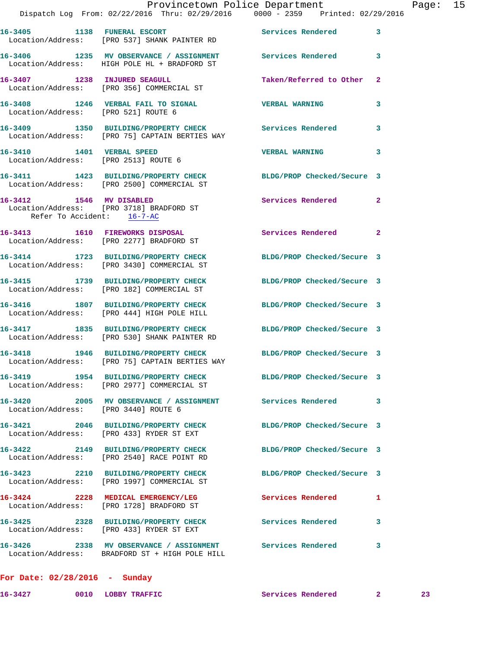|                                                                         | Provincetown Police Department<br>Dispatch Log From: 02/22/2016 Thru: 02/29/2016 0000 - 2359 Printed: 02/29/2016  |                            |                | Page: 15 |  |
|-------------------------------------------------------------------------|-------------------------------------------------------------------------------------------------------------------|----------------------------|----------------|----------|--|
|                                                                         | 16-3405 1138 FUNERAL ESCORT Services Rendered<br>Location/Address: [PRO 537] SHANK PAINTER RD                     |                            | 3              |          |  |
|                                                                         | 16-3406 1235 MV OBSERVANCE / ASSIGNMENT Services Rendered<br>Location/Address: HIGH POLE HL + BRADFORD ST         |                            | 3              |          |  |
|                                                                         | 16-3407 1238 INJURED SEAGULL<br>Location/Address: [PRO 356] COMMERCIAL ST                                         | Taken/Referred to Other    | -2             |          |  |
|                                                                         |                                                                                                                   |                            | 3              |          |  |
|                                                                         | 16-3409 1350 BUILDING/PROPERTY CHECK Services Rendered<br>Location/Address: [PRO 75] CAPTAIN BERTIES WAY          |                            | 3              |          |  |
| 16-3410    1401    VERBAL SPEED<br>Location/Address: [PRO 2513] ROUTE 6 |                                                                                                                   | <b>VERBAL WARNING</b>      | 3              |          |  |
|                                                                         | 16-3411 1423 BUILDING/PROPERTY CHECK BLDG/PROP Checked/Secure 3<br>Location/Address: [PRO 2500] COMMERCIAL ST     |                            |                |          |  |
| Refer To Accident: 16-7-AC                                              | 16-3412 1546 MV DISABLED<br>Location/Address: [PRO 3718] BRADFORD ST                                              | <b>Services Rendered</b>   | $\overline{2}$ |          |  |
|                                                                         | 16-3413 1610 FIREWORKS DISPOSAL<br>Location/Address: [PRO 2277] BRADFORD ST                                       | Services Rendered          | $\mathbf{2}$   |          |  |
|                                                                         | 16-3414 1723 BUILDING/PROPERTY CHECK BLDG/PROP Checked/Secure 3<br>Location/Address: [PRO 3430] COMMERCIAL ST     |                            |                |          |  |
|                                                                         | 16-3415 1739 BUILDING/PROPERTY CHECK BLDG/PROP Checked/Secure 3<br>Location/Address: [PRO 182] COMMERCIAL ST      |                            |                |          |  |
|                                                                         | 16-3416 1807 BUILDING/PROPERTY CHECK BLDG/PROP Checked/Secure 3<br>Location/Address: [PRO 444] HIGH POLE HILL     |                            |                |          |  |
|                                                                         | 16-3417 1835 BUILDING/PROPERTY CHECK BLDG/PROP Checked/Secure 3<br>Location/Address: [PRO 530] SHANK PAINTER RD   |                            |                |          |  |
|                                                                         | 16-3418 1946 BUILDING/PROPERTY CHECK BLDG/PROP Checked/Secure 3<br>Location/Address: [PRO 75] CAPTAIN BERTIES WAY |                            |                |          |  |
|                                                                         | 16-3419 1954 BUILDING/PROPERTY CHECK BLDG/PROP Checked/Secure 3<br>Location/Address: [PRO 2977] COMMERCIAL ST     |                            |                |          |  |
| Location/Address: [PRO 3440] ROUTE 6                                    | 16-3420 2005 MV OBSERVANCE / ASSIGNMENT Services Rendered                                                         |                            | 3              |          |  |
|                                                                         | 16-3421 2046 BUILDING/PROPERTY CHECK BLDG/PROP Checked/Secure 3<br>Location/Address: [PRO 433] RYDER ST EXT       |                            |                |          |  |
|                                                                         | 16-3422 2149 BUILDING/PROPERTY CHECK<br>Location/Address: [PRO 2540] RACE POINT RD                                | BLDG/PROP Checked/Secure 3 |                |          |  |
|                                                                         | 16-3423 2210 BUILDING/PROPERTY CHECK<br>Location/Address: [PRO 1997] COMMERCIAL ST                                | BLDG/PROP Checked/Secure 3 |                |          |  |
|                                                                         | 16-3424 2228 MEDICAL EMERGENCY/LEG<br>Location/Address: [PRO 1728] BRADFORD ST                                    | Services Rendered          | 1              |          |  |
|                                                                         | 16-3425 2328 BUILDING/PROPERTY CHECK Services Rendered<br>Location/Address: [PRO 433] RYDER ST EXT                |                            | 3              |          |  |
|                                                                         | 16-3426  2338 MV OBSERVANCE / ASSIGNMENT  Services Rendered<br>Location/Address: BRADFORD ST + HIGH POLE HILL     |                            | 3              |          |  |
|                                                                         |                                                                                                                   |                            |                |          |  |

**For Date: 02/28/2016 - Sunday**

**16-3427 0010 LOBBY TRAFFIC Services Rendered 2 23**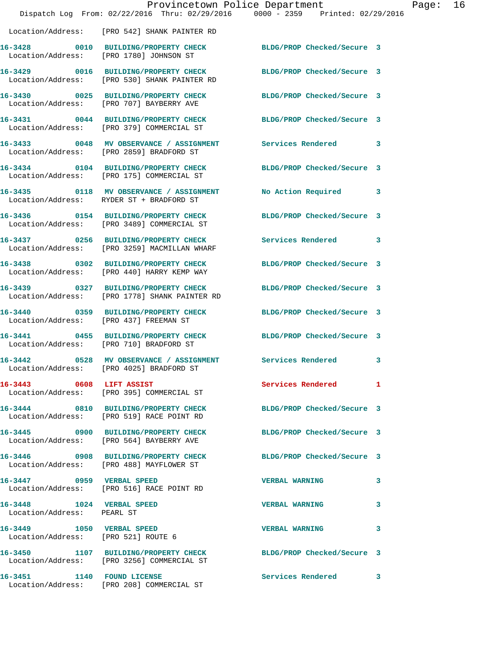|                                                                  | Dispatch Log From: 02/22/2016 Thru: 02/29/2016 0000 - 2359 Printed: 02/29/2016                                  | Provincetown Police Department | Page: 16 |
|------------------------------------------------------------------|-----------------------------------------------------------------------------------------------------------------|--------------------------------|----------|
|                                                                  | Location/Address: [PRO 542] SHANK PAINTER RD                                                                    |                                |          |
|                                                                  | 16-3428 0010 BUILDING/PROPERTY CHECK BLDG/PROP Checked/Secure 3<br>Location/Address: [PRO 1780] JOHNSON ST      |                                |          |
|                                                                  | 16-3429 0016 BUILDING/PROPERTY CHECK BLDG/PROP Checked/Secure 3<br>Location/Address: [PRO 530] SHANK PAINTER RD |                                |          |
|                                                                  | 16-3430 0025 BUILDING/PROPERTY CHECK BLDG/PROP Checked/Secure 3<br>Location/Address: [PRO 707] BAYBERRY AVE     |                                |          |
|                                                                  | 16-3431 0044 BUILDING/PROPERTY CHECK BLDG/PROP Checked/Secure 3<br>Location/Address: [PRO 379] COMMERCIAL ST    |                                |          |
|                                                                  | 16-3433 0048 MV OBSERVANCE / ASSIGNMENT Services Rendered 3<br>Location/Address: [PRO 2859] BRADFORD ST         |                                |          |
|                                                                  | 16-3434 0104 BUILDING/PROPERTY CHECK<br>Location/Address: [PRO 175] COMMERCIAL ST                               | BLDG/PROP Checked/Secure 3     |          |
|                                                                  | 16-3435 0118 MV OBSERVANCE / ASSIGNMENT<br>Location/Address: RYDER ST + BRADFORD ST                             | No Action Required 3           |          |
|                                                                  | 16-3436 0154 BUILDING/PROPERTY CHECK<br>Location/Address: [PRO 3489] COMMERCIAL ST                              | BLDG/PROP Checked/Secure 3     |          |
|                                                                  | 16-3437 0256 BUILDING/PROPERTY CHECK<br>Location/Address: [PRO 3259] MACMILLAN WHARF                            | Services Rendered              | 3        |
|                                                                  | 16-3438 0302 BUILDING/PROPERTY CHECK BLDG/PROP Checked/Secure 3<br>Location/Address: [PRO 440] HARRY KEMP WAY   |                                |          |
|                                                                  | 16-3439 0327 BUILDING/PROPERTY CHECK<br>Location/Address: [PRO 1778] SHANK PAINTER RD                           | BLDG/PROP Checked/Secure 3     |          |
| Location/Address: [PRO 437] FREEMAN ST                           | 16-3440 0359 BUILDING/PROPERTY CHECK BLDG/PROP Checked/Secure 3                                                 |                                |          |
|                                                                  | 16-3441 0455 BUILDING/PROPERTY CHECK BLDG/PROP Checked/Secure 3<br>Location/Address: [PRO 710] BRADFORD ST      |                                |          |
| 16-3442                                                          | 0528 MV OBSERVANCE / ASSIGNMENT Services Rendered 3<br>Location/Address: [PRO 4025] BRADFORD ST                 |                                |          |
|                                                                  | 16-3443 0608 LIFT ASSIST<br>Location/Address: [PRO 395] COMMERCIAL ST                                           | Services Rendered 1            |          |
|                                                                  | 16-3444 0810 BUILDING/PROPERTY CHECK<br>Location/Address: [PRO 519] RACE POINT RD                               | BLDG/PROP Checked/Secure 3     |          |
|                                                                  | 16-3445 0900 BUILDING/PROPERTY CHECK BLDG/PROP Checked/Secure 3<br>Location/Address: [PRO 564] BAYBERRY AVE     |                                |          |
|                                                                  | 16-3446 0908 BUILDING/PROPERTY CHECK<br>Location/Address: [PRO 488] MAYFLOWER ST                                | BLDG/PROP Checked/Secure 3     |          |
|                                                                  | 16-3447 0959 VERBAL SPEED<br>Location/Address: [PRO 516] RACE POINT RD                                          | <b>VERBAL WARNING</b>          | 3        |
| 16-3448    1024    VERBAL SPEED<br>Location/Address: PEARL ST    |                                                                                                                 | <b>VERBAL WARNING</b>          | 3        |
| 16-3449 1050 VERBAL SPEED<br>Location/Address: [PRO 521] ROUTE 6 |                                                                                                                 | <b>VERBAL WARNING</b>          | 3        |
|                                                                  | 16-3450 1107 BUILDING/PROPERTY CHECK BLDG/PROP Checked/Secure 3<br>Location/Address: [PRO 3256] COMMERCIAL ST   |                                |          |
|                                                                  | 16-3451 1140 FOUND LICENSE<br>Location/Address: [PRO 208] COMMERCIAL ST                                         | Services Rendered              | 3        |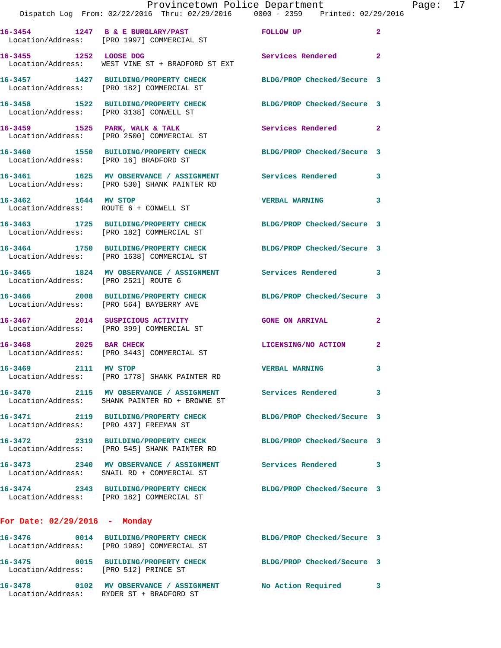|                                        | Dispatch Log From: 02/22/2016 Thru: 02/29/2016 0000 - 2359 Printed: 02/29/2016                                | Provincetown Police Department | Page: 17     |  |
|----------------------------------------|---------------------------------------------------------------------------------------------------------------|--------------------------------|--------------|--|
|                                        | 16-3454 1247 B & E BURGLARY/PAST FOLLOW UP<br>Location/Address: [PRO 1997] COMMERCIAL ST                      |                                | $\mathbf{2}$ |  |
| 16-3455 1252 LOOSE DOG                 | Location/Address: WEST VINE ST + BRADFORD ST EXT                                                              | Services Rendered              | $\mathbf{2}$ |  |
|                                        | 16-3457 1427 BUILDING/PROPERTY CHECK BLDG/PROP Checked/Secure 3<br>Location/Address: [PRO 182] COMMERCIAL ST  |                                |              |  |
|                                        | 16-3458 1522 BUILDING/PROPERTY CHECK BLDG/PROP Checked/Secure 3<br>Location/Address: [PRO 3138] CONWELL ST    |                                |              |  |
|                                        |                                                                                                               | Services Rendered 2            |              |  |
| Location/Address: [PRO 16] BRADFORD ST | 16-3460 1550 BUILDING/PROPERTY CHECK BLDG/PROP Checked/Secure 3                                               |                                |              |  |
|                                        | 16-3461 1625 MV OBSERVANCE / ASSIGNMENT Services Rendered 3<br>Location/Address: [PRO 530] SHANK PAINTER RD   |                                |              |  |
|                                        | 16-3462 1644 MV STOP<br>Location/Address: ROUTE 6 + CONWELL ST                                                | <b>VERBAL WARNING</b>          | 3            |  |
|                                        | 16-3463 1725 BUILDING/PROPERTY CHECK BLDG/PROP Checked/Secure 3<br>Location/Address: [PRO 182] COMMERCIAL ST  |                                |              |  |
|                                        | 16-3464 1750 BUILDING/PROPERTY CHECK BLDG/PROP Checked/Secure 3<br>Location/Address: [PRO 1638] COMMERCIAL ST |                                |              |  |
| Location/Address: [PRO 2521] ROUTE 6   | 16-3465 1824 MV OBSERVANCE / ASSIGNMENT Services Rendered 3                                                   |                                |              |  |
|                                        | 16-3466 2008 BUILDING/PROPERTY CHECK BLDG/PROP Checked/Secure 3<br>Location/Address: [PRO 564] BAYBERRY AVE   |                                |              |  |
|                                        | 16-3467 2014 SUSPICIOUS ACTIVITY CONE ON ARRIVAL<br>Location/Address: [PRO 399] COMMERCIAL ST                 |                                | $\mathbf{2}$ |  |
|                                        | 16-3468 2025 BAR CHECK<br>Location/Address: [PRO 3443] COMMERCIAL ST                                          | LICENSING/NO ACTION 2          |              |  |
| 16-3469 2111 MV STOP                   | Location/Address: [PRO 1778] SHANK PAINTER RD                                                                 | <b>VERBAL WARNING</b>          |              |  |
|                                        | 16-3470 2115 MV OBSERVANCE / ASSIGNMENT Services Rendered<br>Location/Address: SHANK PAINTER RD + BROWNE ST   |                                | 3            |  |
| Location/Address: [PRO 437] FREEMAN ST | 16-3471 2119 BUILDING/PROPERTY CHECK                                                                          | BLDG/PROP Checked/Secure 3     |              |  |
|                                        | 16-3472 2319 BUILDING/PROPERTY CHECK<br>Location/Address: [PRO 545] SHANK PAINTER RD                          | BLDG/PROP Checked/Secure 3     |              |  |
|                                        | 16-3473 2340 MV OBSERVANCE / ASSIGNMENT Services Rendered 3<br>Location/Address: SNAIL RD + COMMERCIAL ST     |                                |              |  |
|                                        | 16-3474 2343 BUILDING/PROPERTY CHECK<br>Location/Address: [PRO 182] COMMERCIAL ST                             | BLDG/PROP Checked/Secure 3     |              |  |
| For Date: $02/29/2016$ - Monday        |                                                                                                               |                                |              |  |
|                                        | 16-3476 0014 BUILDING/PROPERTY CHECK<br>Location/Address: [PRO 1989] COMMERCIAL ST                            | BLDG/PROP Checked/Secure 3     |              |  |
| Location/Address: [PRO 512] PRINCE ST  | 16-3475 0015 BUILDING/PROPERTY CHECK BLDG/PROP Checked/Secure 3                                               |                                |              |  |
|                                        | 16-3478 0102 MV OBSERVANCE / ASSIGNMENT<br>Location/Address: RYDER ST + BRADFORD ST                           | No Action Required             | 3            |  |